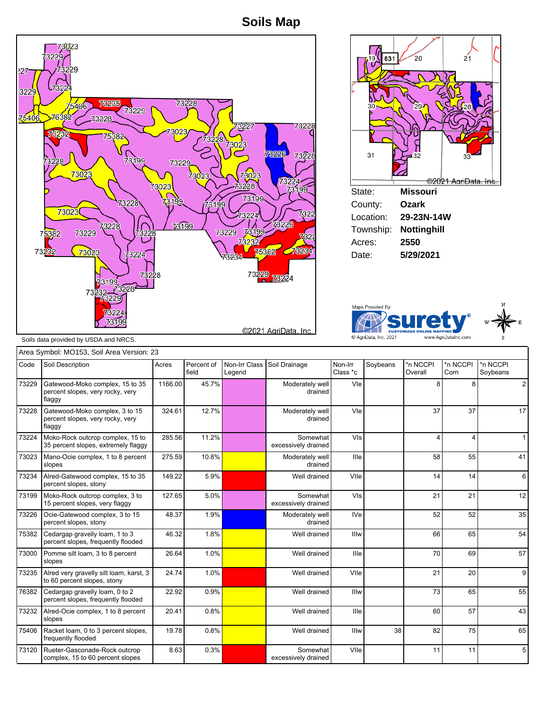**Soils Map**







Soils data provided by USDA and NRCS.

|       | Area Symbol: MO153, Soil Area Version: 23                                     |         |                     |                         |                                 |                     |          |                     |                  |                      |
|-------|-------------------------------------------------------------------------------|---------|---------------------|-------------------------|---------------------------------|---------------------|----------|---------------------|------------------|----------------------|
| Code  | Soil Description                                                              | Acres   | Percent of<br>field | Non-Irr Class<br>Legend | Soil Drainage                   | Non-Irr<br>Class *c | Soybeans | *n NCCPI<br>Overall | *n NCCPI<br>Corn | *n NCCPI<br>Sovbeans |
| 73229 | Gatewood-Moko complex, 15 to 35<br>percent slopes, very rocky, very<br>flaggy | 1166.00 | 45.7%               |                         | Moderately well<br>drained      | Vle                 |          | 8                   | 8                | $\overline{2}$       |
| 73228 | Gatewood-Moko complex, 3 to 15<br>percent slopes, very rocky, very<br>flaggy  | 324.61  | 12.7%               |                         | Moderately well<br>drained      | Vle                 |          | 37                  | 37               | 17                   |
| 73224 | Moko-Rock outcrop complex, 15 to<br>35 percent slopes, extremely flaggy       | 285.56  | 11.2%               |                         | Somewhat<br>excessively drained | VIs                 |          | 4                   | 4                |                      |
| 73023 | Mano-Ocie complex, 1 to 8 percent<br>slopes                                   | 275.59  | 10.8%               |                         | Moderately well<br>drained      | Ille                |          | 58                  | 55               | 41                   |
| 73234 | Alred-Gatewood complex, 15 to 35<br>percent slopes, stony                     | 149.22  | 5.9%                |                         | Well drained                    | VIIe                |          | 14                  | 14               | 6                    |
| 73199 | Moko-Rock outcrop complex, 3 to<br>15 percent slopes, very flaggy             | 127.65  | 5.0%                |                         | Somewhat<br>excessively drained | VIs                 |          | 21                  | 21               | 12                   |
| 73226 | Ocie-Gatewood complex, 3 to 15<br>percent slopes, stony                       | 48.37   | 1.9%                |                         | Moderately well<br>drained      | <b>IVe</b>          |          | 52                  | 52               | 35                   |
| 75382 | Cedargap gravelly loam, 1 to 3<br>percent slopes, frequently flooded          | 46.32   | 1.8%                |                         | Well drained                    | Illw                |          | 66                  | 65               | 54                   |
| 73000 | Pomme silt loam, 3 to 8 percent<br>slopes                                     | 26.64   | 1.0%                |                         | Well drained                    | Ille                |          | 70                  | 69               | 57                   |
| 73235 | Alred very gravelly silt loam, karst, 3<br>to 60 percent slopes, stony        | 24.74   | 1.0%                |                         | Well drained                    | VIIe                |          | 21                  | 20               | 9                    |
| 76382 | Cedargap gravelly loam, 0 to 2<br>percent slopes, frequently flooded          | 22.92   | 0.9%                |                         | Well drained                    | Illw                |          | 73                  | 65               | 55                   |
| 73232 | Alred-Ocie complex, 1 to 8 percent<br>slopes                                  | 20.41   | 0.8%                |                         | Well drained                    | Ille                |          | 60                  | 57               | 43                   |
| 75406 | Racket loam, 0 to 3 percent slopes,<br>frequently flooded                     | 19.78   | 0.8%                |                         | Well drained                    | Illw                | 38       | 82                  | 75               | 65                   |
| 73120 | Rueter-Gasconade-Rock outcrop<br>complex, 15 to 60 percent slopes             | 8.63    | 0.3%                |                         | Somewhat<br>excessively drained | VIIe                |          | 11                  | 11               | 5                    |